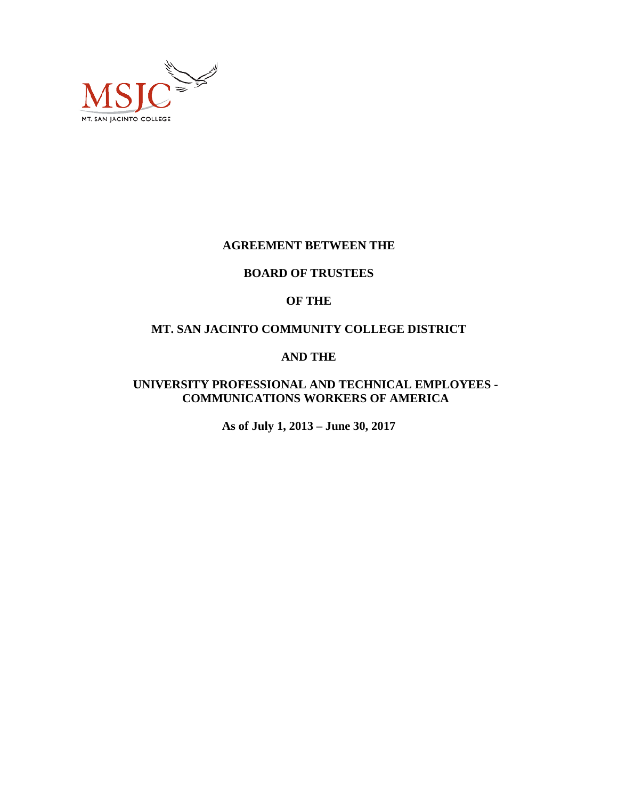

#### **AGREEMENT BETWEEN THE**

#### **BOARD OF TRUSTEES**

# **OF THE**

# **MT. SAN JACINTO COMMUNITY COLLEGE DISTRICT**

# **AND THE**

# **UNIVERSITY PROFESSIONAL AND TECHNICAL EMPLOYEES - COMMUNICATIONS WORKERS OF AMERICA**

**As of July 1, 2013 – June 30, 2017**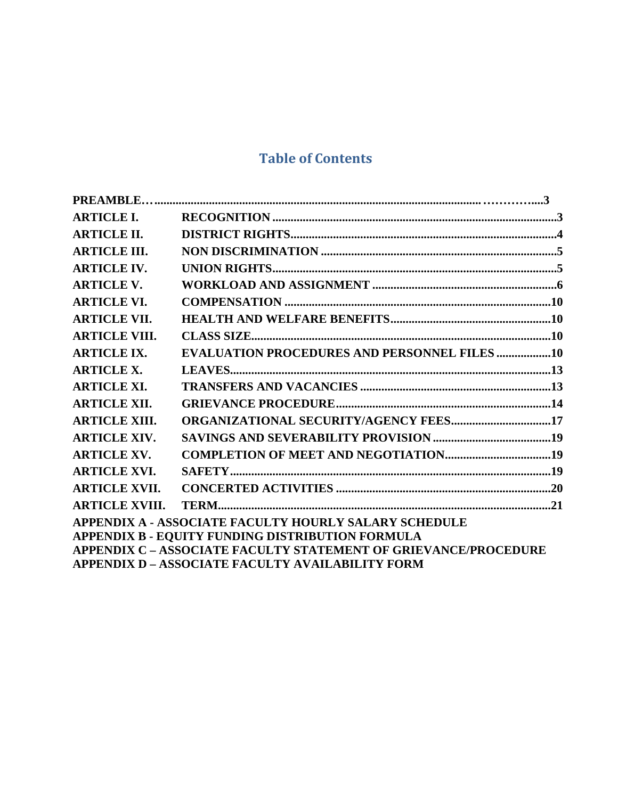# **Table of Contents**

| <b>ARTICLE I.</b>     |                                                                        |  |
|-----------------------|------------------------------------------------------------------------|--|
| <b>ARTICLE II.</b>    |                                                                        |  |
| <b>ARTICLE III.</b>   |                                                                        |  |
| <b>ARTICLE IV.</b>    |                                                                        |  |
| <b>ARTICLE V.</b>     |                                                                        |  |
| <b>ARTICLE VI.</b>    |                                                                        |  |
| <b>ARTICLE VII.</b>   |                                                                        |  |
| <b>ARTICLE VIII.</b>  |                                                                        |  |
| <b>ARTICLE IX.</b>    | <b>EVALUATION PROCEDURES AND PERSONNEL FILES 10</b>                    |  |
| <b>ARTICLE X.</b>     |                                                                        |  |
| <b>ARTICLE XI.</b>    |                                                                        |  |
| <b>ARTICLE XII.</b>   |                                                                        |  |
| <b>ARTICLE XIII.</b>  | ORGANIZATIONAL SECURITY/AGENCY FEES17                                  |  |
| <b>ARTICLE XIV.</b>   |                                                                        |  |
| <b>ARTICLE XV.</b>    |                                                                        |  |
| <b>ARTICLE XVI.</b>   |                                                                        |  |
| <b>ARTICLE XVII.</b>  |                                                                        |  |
| <b>ARTICLE XVIII.</b> |                                                                        |  |
|                       | <b>APPENDIX A - ASSOCIATE FACULTY HOURLY SALARY SCHEDULE</b>           |  |
|                       | APPENDIX B - EQUITY FUNDING DISTRIBUTION FORMULA                       |  |
|                       | <b>APPENDIX C – ASSOCIATE FACULTY STATEMENT OF GRIEVANCE/PROCEDURE</b> |  |
|                       | <b>APPENDIX D - ASSOCIATE FACULTY AVAILABILITY FORM</b>                |  |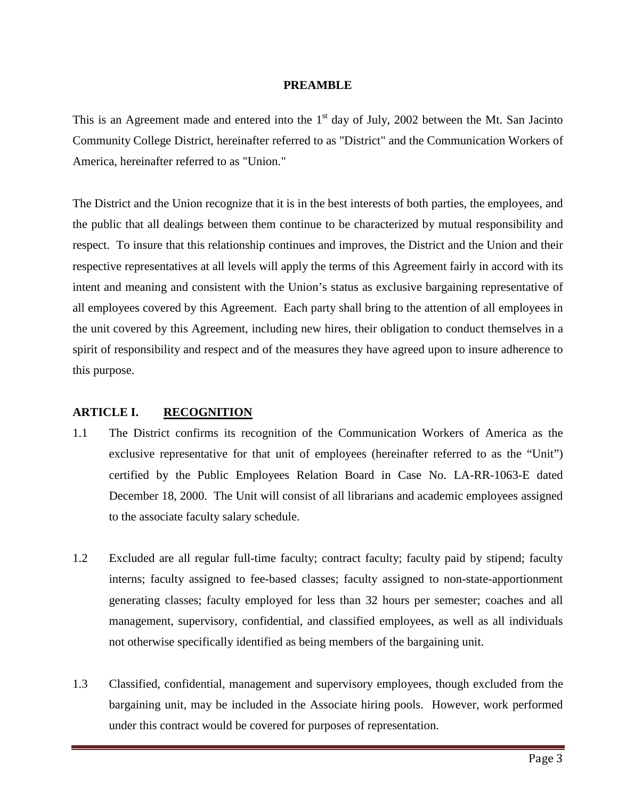#### **PREAMBLE**

<span id="page-2-0"></span>This is an Agreement made and entered into the  $1<sup>st</sup>$  day of July, 2002 between the Mt. San Jacinto Community College District, hereinafter referred to as "District" and the Communication Workers of America, hereinafter referred to as "Union."

The District and the Union recognize that it is in the best interests of both parties, the employees, and the public that all dealings between them continue to be characterized by mutual responsibility and respect. To insure that this relationship continues and improves, the District and the Union and their respective representatives at all levels will apply the terms of this Agreement fairly in accord with its intent and meaning and consistent with the Union's status as exclusive bargaining representative of all employees covered by this Agreement. Each party shall bring to the attention of all employees in the unit covered by this Agreement, including new hires, their obligation to conduct themselves in a spirit of responsibility and respect and of the measures they have agreed upon to insure adherence to this purpose.

# <span id="page-2-1"></span>**ARTICLE I. RECOGNITION**

- 1.1 The District confirms its recognition of the Communication Workers of America as the exclusive representative for that unit of employees (hereinafter referred to as the "Unit") certified by the Public Employees Relation Board in Case No. LA-RR-1063-E dated December 18, 2000. The Unit will consist of all librarians and academic employees assigned to the associate faculty salary schedule.
- 1.2 Excluded are all regular full-time faculty; contract faculty; faculty paid by stipend; faculty interns; faculty assigned to fee-based classes; faculty assigned to non-state-apportionment generating classes; faculty employed for less than 32 hours per semester; coaches and all management, supervisory, confidential, and classified employees, as well as all individuals not otherwise specifically identified as being members of the bargaining unit.
- 1.3 Classified, confidential, management and supervisory employees, though excluded from the bargaining unit, may be included in the Associate hiring pools. However, work performed under this contract would be covered for purposes of representation.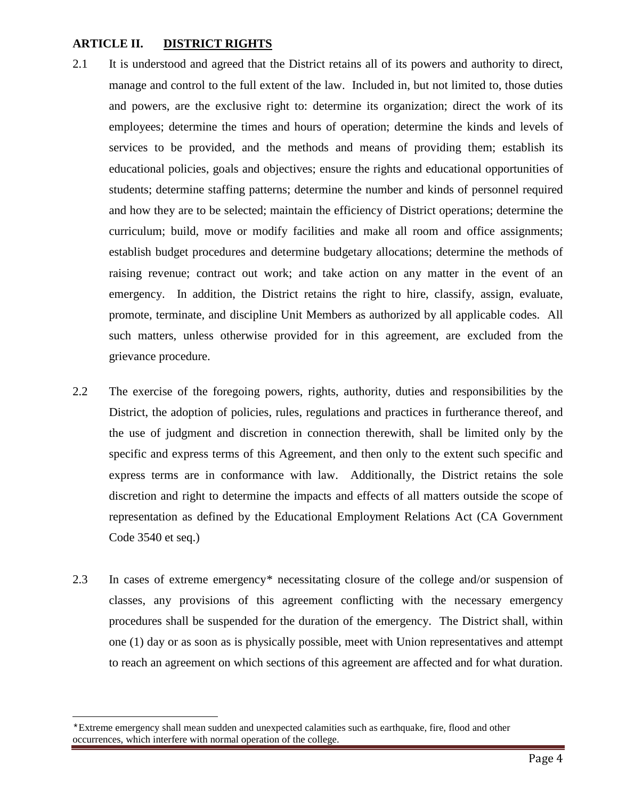### <span id="page-3-0"></span>**ARTICLE II. DISTRICT RIGHTS**

- 2.1 It is understood and agreed that the District retains all of its powers and authority to direct, manage and control to the full extent of the law. Included in, but not limited to, those duties and powers, are the exclusive right to: determine its organization; direct the work of its employees; determine the times and hours of operation; determine the kinds and levels of services to be provided, and the methods and means of providing them; establish its educational policies, goals and objectives; ensure the rights and educational opportunities of students; determine staffing patterns; determine the number and kinds of personnel required and how they are to be selected; maintain the efficiency of District operations; determine the curriculum; build, move or modify facilities and make all room and office assignments; establish budget procedures and determine budgetary allocations; determine the methods of raising revenue; contract out work; and take action on any matter in the event of an emergency. In addition, the District retains the right to hire, classify, assign, evaluate, promote, terminate, and discipline Unit Members as authorized by all applicable codes. All such matters, unless otherwise provided for in this agreement, are excluded from the grievance procedure.
- 2.2 The exercise of the foregoing powers, rights, authority, duties and responsibilities by the District, the adoption of policies, rules, regulations and practices in furtherance thereof, and the use of judgment and discretion in connection therewith, shall be limited only by the specific and express terms of this Agreement, and then only to the extent such specific and express terms are in conformance with law. Additionally, the District retains the sole discretion and right to determine the impacts and effects of all matters outside the scope of representation as defined by the Educational Employment Relations Act (CA Government Code 3540 et seq.)
- 2.3 In cases of extreme emergency[\\*](#page-3-1) necessitating closure of the college and/or suspension of classes, any provisions of this agreement conflicting with the necessary emergency procedures shall be suspended for the duration of the emergency. The District shall, within one (1) day or as soon as is physically possible, meet with Union representatives and attempt to reach an agreement on which sections of this agreement are affected and for what duration.

<span id="page-3-1"></span>Ĩ. \*Extreme emergency shall mean sudden and unexpected calamities such as earthquake, fire, flood and other occurrences, which interfere with normal operation of the college.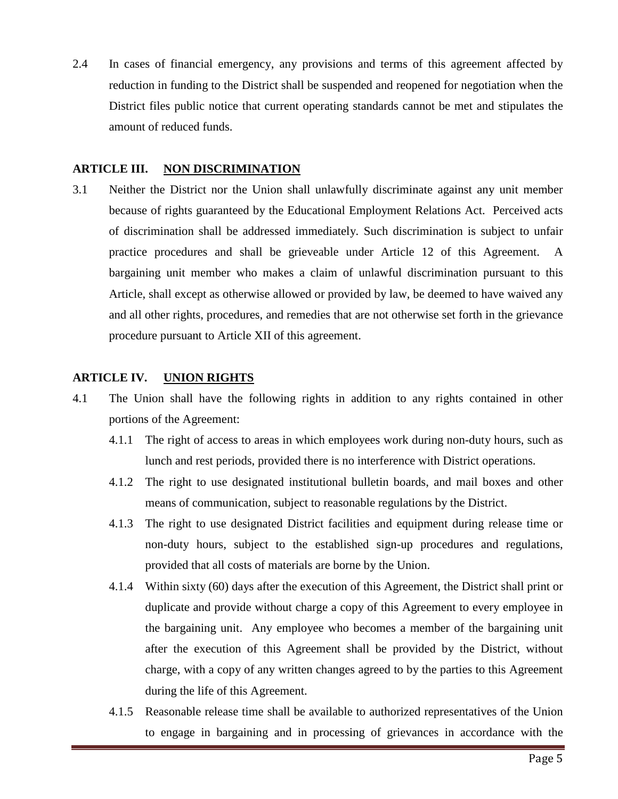2.4 In cases of financial emergency, any provisions and terms of this agreement affected by reduction in funding to the District shall be suspended and reopened for negotiation when the District files public notice that current operating standards cannot be met and stipulates the amount of reduced funds.

### <span id="page-4-0"></span>**ARTICLE III. NON DISCRIMINATION**

3.1 Neither the District nor the Union shall unlawfully discriminate against any unit member because of rights guaranteed by the Educational Employment Relations Act. Perceived acts of discrimination shall be addressed immediately*.* Such discrimination is subject to unfair practice procedures and shall be grieveable under Article 12 of this Agreement. A bargaining unit member who makes a claim of unlawful discrimination pursuant to this Article, shall except as otherwise allowed or provided by law, be deemed to have waived any and all other rights, procedures, and remedies that are not otherwise set forth in the grievance procedure pursuant to Article XII of this agreement.

# <span id="page-4-1"></span>**ARTICLE IV. UNION RIGHTS**

- 4.1 The Union shall have the following rights in addition to any rights contained in other portions of the Agreement:
	- 4.1.1 The right of access to areas in which employees work during non-duty hours, such as lunch and rest periods, provided there is no interference with District operations.
	- 4.1.2 The right to use designated institutional bulletin boards, and mail boxes and other means of communication, subject to reasonable regulations by the District.
	- 4.1.3 The right to use designated District facilities and equipment during release time or non-duty hours, subject to the established sign-up procedures and regulations, provided that all costs of materials are borne by the Union.
	- 4.1.4 Within sixty (60) days after the execution of this Agreement, the District shall print or duplicate and provide without charge a copy of this Agreement to every employee in the bargaining unit. Any employee who becomes a member of the bargaining unit after the execution of this Agreement shall be provided by the District, without charge, with a copy of any written changes agreed to by the parties to this Agreement during the life of this Agreement.
	- 4.1.5 Reasonable release time shall be available to authorized representatives of the Union to engage in bargaining and in processing of grievances in accordance with the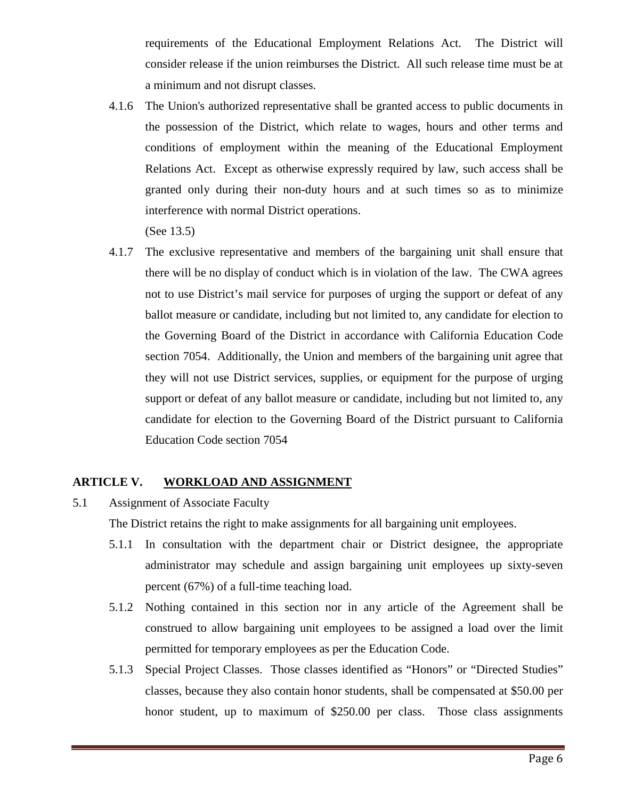requirements of the Educational Employment Relations Act. The District will consider release if the union reimburses the District. All such release time must be at a minimum and not disrupt classes.

4.1.6 The Union's authorized representative shall be granted access to public documents in the possession of the District, which relate to wages, hours and other terms and conditions of employment within the meaning of the Educational Employment Relations Act. Except as otherwise expressly required by law, such access shall be granted only during their non-duty hours and at such times so as to minimize interference with normal District operations.

(See 13.5)

4.1.7 The exclusive representative and members of the bargaining unit shall ensure that there will be no display of conduct which is in violation of the law. The CWA agrees not to use District's mail service for purposes of urging the support or defeat of any ballot measure or candidate, including but not limited to, any candidate for election to the Governing Board of the District in accordance with California Education Code section 7054. Additionally, the Union and members of the bargaining unit agree that they will not use District services, supplies, or equipment for the purpose of urging support or defeat of any ballot measure or candidate, including but not limited to, any candidate for election to the Governing Board of the District pursuant to California Education Code section 7054

# <span id="page-5-0"></span>**ARTICLE V. WORKLOAD AND ASSIGNMENT**

5.1 Assignment of Associate Faculty

The District retains the right to make assignments for all bargaining unit employees.

- 5.1.1 In consultation with the department chair or District designee, the appropriate administrator may schedule and assign bargaining unit employees up sixty-seven percent (67%) of a full-time teaching load.
- 5.1.2 Nothing contained in this section nor in any article of the Agreement shall be construed to allow bargaining unit employees to be assigned a load over the limit permitted for temporary employees as per the Education Code.
- 5.1.3 Special Project Classes. Those classes identified as "Honors" or "Directed Studies" classes, because they also contain honor students, shall be compensated at \$50.00 per honor student, up to maximum of \$250.00 per class. Those class assignments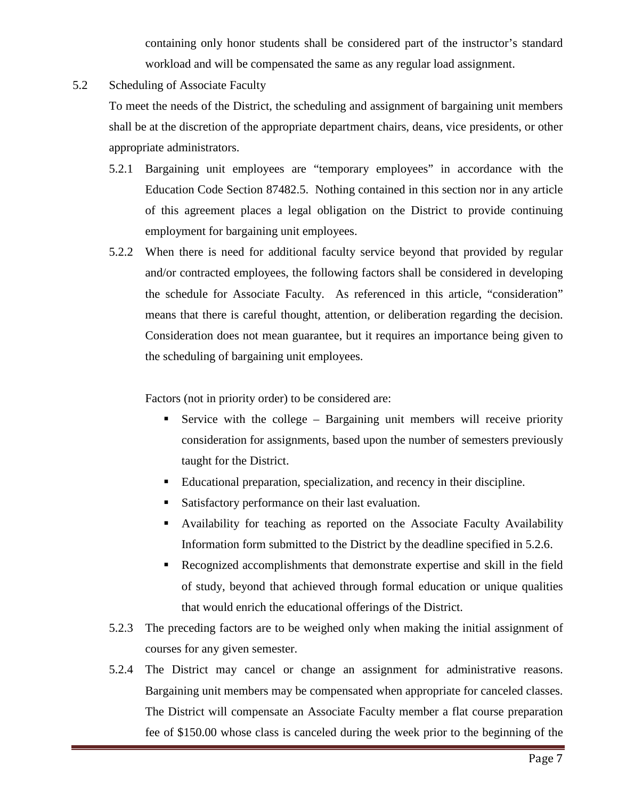containing only honor students shall be considered part of the instructor's standard workload and will be compensated the same as any regular load assignment.

5.2 Scheduling of Associate Faculty

To meet the needs of the District, the scheduling and assignment of bargaining unit members shall be at the discretion of the appropriate department chairs, deans, vice presidents, or other appropriate administrators.

- 5.2.1 Bargaining unit employees are "temporary employees" in accordance with the Education Code Section 87482.5. Nothing contained in this section nor in any article of this agreement places a legal obligation on the District to provide continuing employment for bargaining unit employees.
- 5.2.2 When there is need for additional faculty service beyond that provided by regular and/or contracted employees, the following factors shall be considered in developing the schedule for Associate Faculty. As referenced in this article, "consideration" means that there is careful thought, attention, or deliberation regarding the decision. Consideration does not mean guarantee, but it requires an importance being given to the scheduling of bargaining unit employees.

Factors (not in priority order) to be considered are:

- Service with the college Bargaining unit members will receive priority consideration for assignments, based upon the number of semesters previously taught for the District.
- Educational preparation, specialization, and recency in their discipline.
- Satisfactory performance on their last evaluation.
- Availability for teaching as reported on the Associate Faculty Availability Information form submitted to the District by the deadline specified in 5.2.6.
- Recognized accomplishments that demonstrate expertise and skill in the field of study, beyond that achieved through formal education or unique qualities that would enrich the educational offerings of the District.
- 5.2.3 The preceding factors are to be weighed only when making the initial assignment of courses for any given semester.
- 5.2.4 The District may cancel or change an assignment for administrative reasons. Bargaining unit members may be compensated when appropriate for canceled classes. The District will compensate an Associate Faculty member a flat course preparation fee of \$150.00 whose class is canceled during the week prior to the beginning of the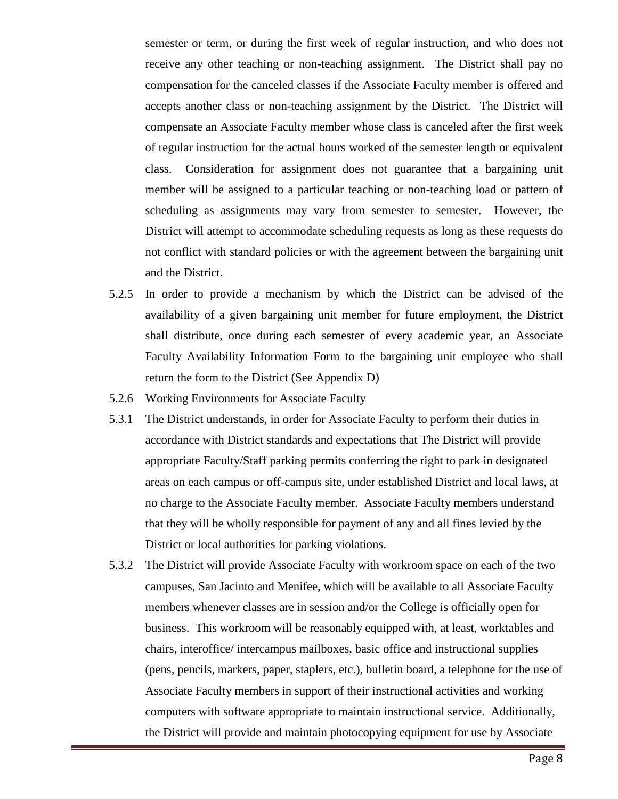semester or term, or during the first week of regular instruction, and who does not receive any other teaching or non-teaching assignment. The District shall pay no compensation for the canceled classes if the Associate Faculty member is offered and accepts another class or non-teaching assignment by the District. The District will compensate an Associate Faculty member whose class is canceled after the first week of regular instruction for the actual hours worked of the semester length or equivalent class. Consideration for assignment does not guarantee that a bargaining unit member will be assigned to a particular teaching or non-teaching load or pattern of scheduling as assignments may vary from semester to semester. However, the District will attempt to accommodate scheduling requests as long as these requests do not conflict with standard policies or with the agreement between the bargaining unit and the District.

- 5.2.5 In order to provide a mechanism by which the District can be advised of the availability of a given bargaining unit member for future employment, the District shall distribute, once during each semester of every academic year, an Associate Faculty Availability Information Form to the bargaining unit employee who shall return the form to the District (See Appendix D)
- 5.2.6 Working Environments for Associate Faculty
- 5.3.1 The District understands, in order for Associate Faculty to perform their duties in accordance with District standards and expectations that The District will provide appropriate Faculty/Staff parking permits conferring the right to park in designated areas on each campus or off-campus site, under established District and local laws, at no charge to the Associate Faculty member. Associate Faculty members understand that they will be wholly responsible for payment of any and all fines levied by the District or local authorities for parking violations.
- 5.3.2 The District will provide Associate Faculty with workroom space on each of the two campuses, San Jacinto and Menifee, which will be available to all Associate Faculty members whenever classes are in session and/or the College is officially open for business. This workroom will be reasonably equipped with, at least, worktables and chairs, interoffice/ intercampus mailboxes, basic office and instructional supplies (pens, pencils, markers, paper, staplers, etc.), bulletin board, a telephone for the use of Associate Faculty members in support of their instructional activities and working computers with software appropriate to maintain instructional service. Additionally, the District will provide and maintain photocopying equipment for use by Associate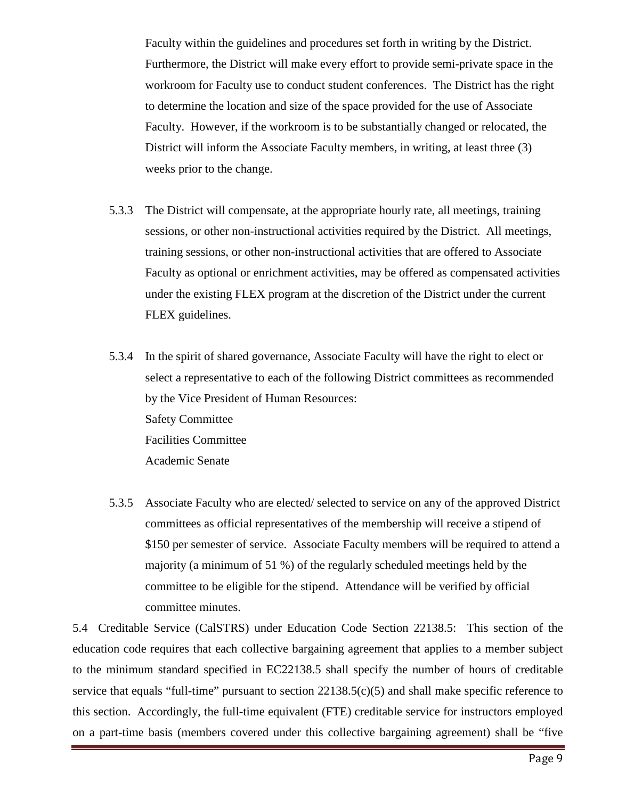Faculty within the guidelines and procedures set forth in writing by the District. Furthermore, the District will make every effort to provide semi-private space in the workroom for Faculty use to conduct student conferences. The District has the right to determine the location and size of the space provided for the use of Associate Faculty. However, if the workroom is to be substantially changed or relocated, the District will inform the Associate Faculty members, in writing, at least three (3) weeks prior to the change.

- 5.3.3 The District will compensate, at the appropriate hourly rate, all meetings, training sessions, or other non-instructional activities required by the District. All meetings, training sessions, or other non-instructional activities that are offered to Associate Faculty as optional or enrichment activities, may be offered as compensated activities under the existing FLEX program at the discretion of the District under the current FLEX guidelines.
- 5.3.4 In the spirit of shared governance, Associate Faculty will have the right to elect or select a representative to each of the following District committees as recommended by the Vice President of Human Resources: Safety Committee Facilities Committee Academic Senate
- 5.3.5 Associate Faculty who are elected/ selected to service on any of the approved District committees as official representatives of the membership will receive a stipend of \$150 per semester of service. Associate Faculty members will be required to attend a majority (a minimum of 51 %) of the regularly scheduled meetings held by the committee to be eligible for the stipend. Attendance will be verified by official committee minutes.

5.4 Creditable Service (CalSTRS) under Education Code Section 22138.5: This section of the education code requires that each collective bargaining agreement that applies to a member subject to the minimum standard specified in EC22138.5 shall specify the number of hours of creditable service that equals "full-time" pursuant to section 22138.5(c)(5) and shall make specific reference to this section. Accordingly, the full-time equivalent (FTE) creditable service for instructors employed on a part-time basis (members covered under this collective bargaining agreement) shall be "five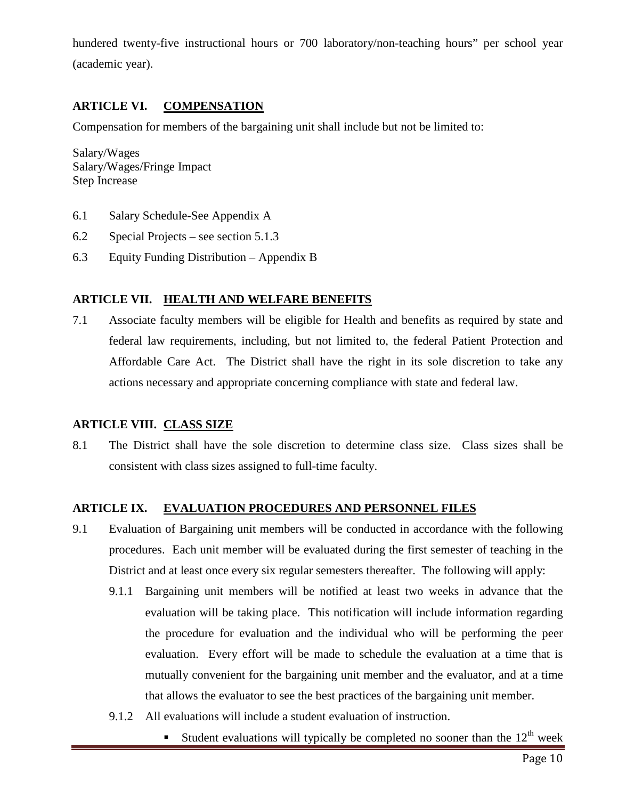hundered twenty-five instructional hours or 700 laboratory/non-teaching hours" per school year (academic year).

# <span id="page-9-0"></span>**ARTICLE VI. COMPENSATION**

Compensation for members of the bargaining unit shall include but not be limited to:

Salary/Wages Salary/Wages/Fringe Impact Step Increase

- 6.1 Salary Schedule-See Appendix A
- 6.2 Special Projects see section 5.1.3
- 6.3 Equity Funding Distribution Appendix B

#### <span id="page-9-1"></span>**ARTICLE VII. HEALTH AND WELFARE BENEFITS**

7.1 Associate faculty members will be eligible for Health and benefits as required by state and federal law requirements, including, but not limited to, the federal Patient Protection and Affordable Care Act. The District shall have the right in its sole discretion to take any actions necessary and appropriate concerning compliance with state and federal law.

#### <span id="page-9-2"></span>**ARTICLE VIII. CLASS SIZE**

8.1 The District shall have the sole discretion to determine class size. Class sizes shall be consistent with class sizes assigned to full-time faculty.

#### <span id="page-9-3"></span>**ARTICLE IX. EVALUATION PROCEDURES AND PERSONNEL FILES**

- 9.1 Evaluation of Bargaining unit members will be conducted in accordance with the following procedures. Each unit member will be evaluated during the first semester of teaching in the District and at least once every six regular semesters thereafter. The following will apply:
	- 9.1.1 Bargaining unit members will be notified at least two weeks in advance that the evaluation will be taking place. This notification will include information regarding the procedure for evaluation and the individual who will be performing the peer evaluation. Every effort will be made to schedule the evaluation at a time that is mutually convenient for the bargaining unit member and the evaluator, and at a time that allows the evaluator to see the best practices of the bargaining unit member.
	- 9.1.2 All evaluations will include a student evaluation of instruction.
		- Student evaluations will typically be completed no sooner than the  $12<sup>th</sup>$  week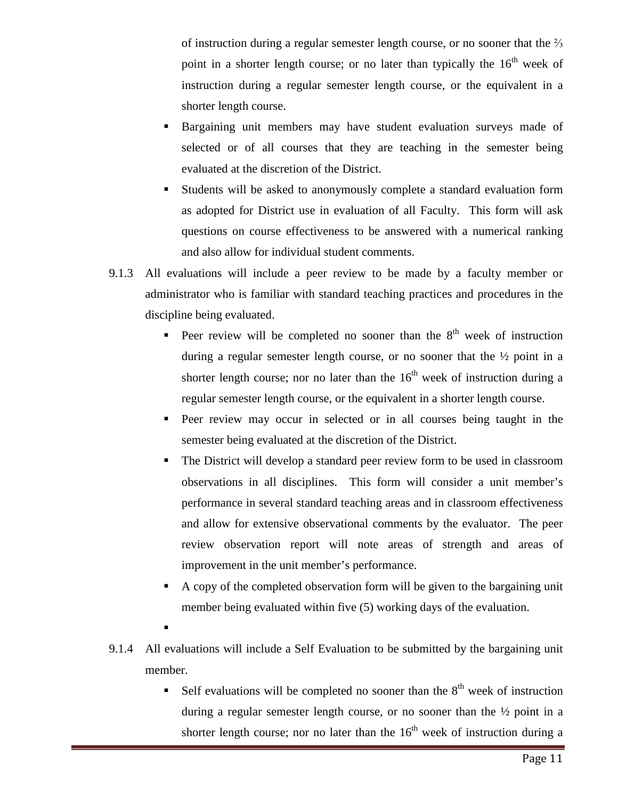of instruction during a regular semester length course, or no sooner that the  $\frac{2}{3}$ point in a shorter length course; or no later than typically the  $16<sup>th</sup>$  week of instruction during a regular semester length course, or the equivalent in a shorter length course.

- Bargaining unit members may have student evaluation surveys made of selected or of all courses that they are teaching in the semester being evaluated at the discretion of the District.
- Students will be asked to anonymously complete a standard evaluation form as adopted for District use in evaluation of all Faculty. This form will ask questions on course effectiveness to be answered with a numerical ranking and also allow for individual student comments.
- 9.1.3 All evaluations will include a peer review to be made by a faculty member or administrator who is familiar with standard teaching practices and procedures in the discipline being evaluated.
	- Peer review will be completed no sooner than the  $8<sup>th</sup>$  week of instruction during a regular semester length course, or no sooner that the ½ point in a shorter length course; nor no later than the  $16<sup>th</sup>$  week of instruction during a regular semester length course, or the equivalent in a shorter length course.
	- Peer review may occur in selected or in all courses being taught in the semester being evaluated at the discretion of the District.
	- The District will develop a standard peer review form to be used in classroom observations in all disciplines. This form will consider a unit member's performance in several standard teaching areas and in classroom effectiveness and allow for extensive observational comments by the evaluator. The peer review observation report will note areas of strength and areas of improvement in the unit member's performance.
	- A copy of the completed observation form will be given to the bargaining unit member being evaluated within five (5) working days of the evaluation.
	- .
- 9.1.4 All evaluations will include a Self Evaluation to be submitted by the bargaining unit member.
	- Self evaluations will be completed no sooner than the  $8<sup>th</sup>$  week of instruction during a regular semester length course, or no sooner than the ½ point in a shorter length course; nor no later than the  $16<sup>th</sup>$  week of instruction during a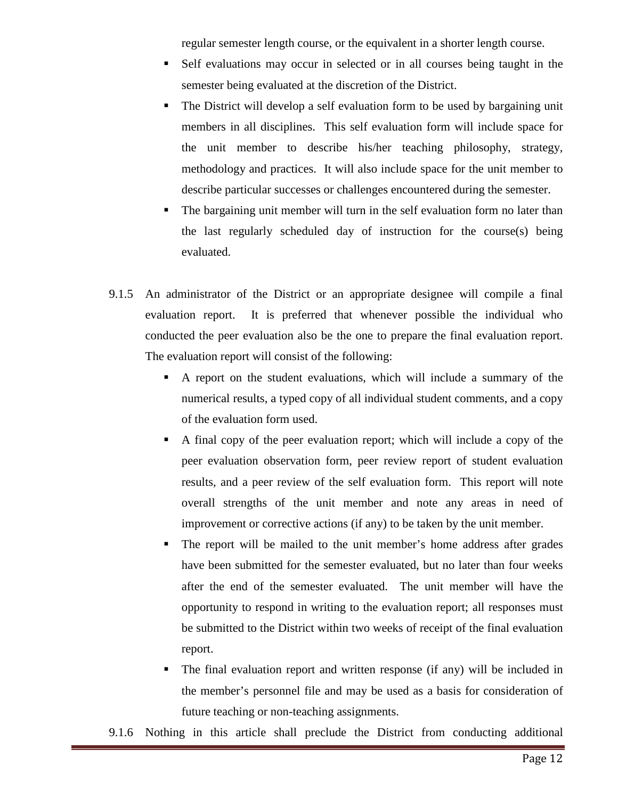regular semester length course, or the equivalent in a shorter length course.

- Self evaluations may occur in selected or in all courses being taught in the semester being evaluated at the discretion of the District.
- The District will develop a self evaluation form to be used by bargaining unit members in all disciplines. This self evaluation form will include space for the unit member to describe his/her teaching philosophy, strategy, methodology and practices. It will also include space for the unit member to describe particular successes or challenges encountered during the semester.
- The bargaining unit member will turn in the self evaluation form no later than the last regularly scheduled day of instruction for the course(s) being evaluated.
- 9.1.5 An administrator of the District or an appropriate designee will compile a final evaluation report. It is preferred that whenever possible the individual who conducted the peer evaluation also be the one to prepare the final evaluation report. The evaluation report will consist of the following:
	- A report on the student evaluations, which will include a summary of the numerical results, a typed copy of all individual student comments, and a copy of the evaluation form used.
	- A final copy of the peer evaluation report; which will include a copy of the peer evaluation observation form, peer review report of student evaluation results, and a peer review of the self evaluation form. This report will note overall strengths of the unit member and note any areas in need of improvement or corrective actions (if any) to be taken by the unit member.
	- The report will be mailed to the unit member's home address after grades have been submitted for the semester evaluated, but no later than four weeks after the end of the semester evaluated. The unit member will have the opportunity to respond in writing to the evaluation report; all responses must be submitted to the District within two weeks of receipt of the final evaluation report.
	- The final evaluation report and written response (if any) will be included in the member's personnel file and may be used as a basis for consideration of future teaching or non-teaching assignments.

9.1.6 Nothing in this article shall preclude the District from conducting additional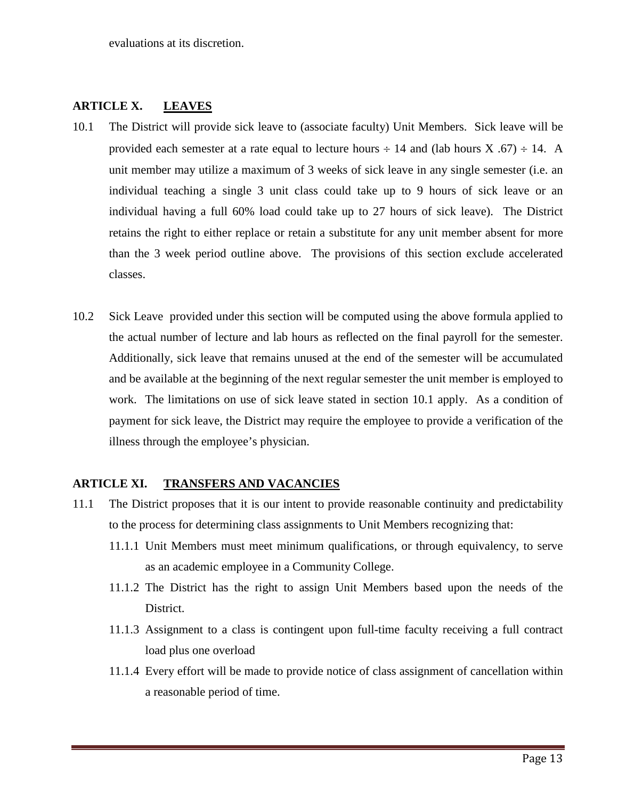evaluations at its discretion.

### <span id="page-12-0"></span>**ARTICLE X. LEAVES**

- 10.1 The District will provide sick leave to (associate faculty) Unit Members. Sick leave will be provided each semester at a rate equal to lecture hours  $\div$  14 and (lab hours X .67)  $\div$  14. A unit member may utilize a maximum of 3 weeks of sick leave in any single semester (i.e. an individual teaching a single 3 unit class could take up to 9 hours of sick leave or an individual having a full 60% load could take up to 27 hours of sick leave). The District retains the right to either replace or retain a substitute for any unit member absent for more than the 3 week period outline above. The provisions of this section exclude accelerated classes.
- 10.2 Sick Leave provided under this section will be computed using the above formula applied to the actual number of lecture and lab hours as reflected on the final payroll for the semester. Additionally, sick leave that remains unused at the end of the semester will be accumulated and be available at the beginning of the next regular semester the unit member is employed to work. The limitations on use of sick leave stated in section 10.1 apply. As a condition of payment for sick leave, the District may require the employee to provide a verification of the illness through the employee's physician.

#### <span id="page-12-1"></span>**ARTICLE XI. TRANSFERS AND VACANCIES**

- 11.1 The District proposes that it is our intent to provide reasonable continuity and predictability to the process for determining class assignments to Unit Members recognizing that:
	- 11.1.1 Unit Members must meet minimum qualifications, or through equivalency, to serve as an academic employee in a Community College.
	- 11.1.2 The District has the right to assign Unit Members based upon the needs of the District.
	- 11.1.3 Assignment to a class is contingent upon full-time faculty receiving a full contract load plus one overload
	- 11.1.4 Every effort will be made to provide notice of class assignment of cancellation within a reasonable period of time.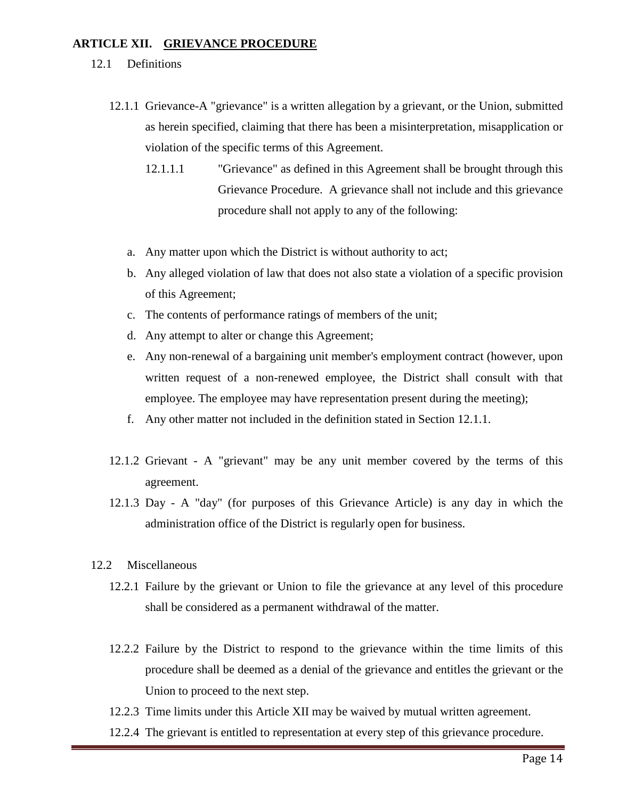### <span id="page-13-0"></span>**ARTICLE XII. GRIEVANCE PROCEDURE**

- 12.1 Definitions
	- 12.1.1 Grievance-A "grievance" is a written allegation by a grievant, or the Union, submitted as herein specified, claiming that there has been a misinterpretation, misapplication or violation of the specific terms of this Agreement.
		- 12.1.1.1 "Grievance" as defined in this Agreement shall be brought through this Grievance Procedure. A grievance shall not include and this grievance procedure shall not apply to any of the following:
		- a. Any matter upon which the District is without authority to act;
		- b. Any alleged violation of law that does not also state a violation of a specific provision of this Agreement;
		- c. The contents of performance ratings of members of the unit;
		- d. Any attempt to alter or change this Agreement;
		- e. Any non-renewal of a bargaining unit member's employment contract (however, upon written request of a non-renewed employee, the District shall consult with that employee. The employee may have representation present during the meeting);
		- f. Any other matter not included in the definition stated in Section 12.1.1.
	- 12.1.2 Grievant A "grievant" may be any unit member covered by the terms of this agreement.
	- 12.1.3 Day A "day" (for purposes of this Grievance Article) is any day in which the administration office of the District is regularly open for business.
- 12.2 Miscellaneous
	- 12.2.1 Failure by the grievant or Union to file the grievance at any level of this procedure shall be considered as a permanent withdrawal of the matter.
	- 12.2.2 Failure by the District to respond to the grievance within the time limits of this procedure shall be deemed as a denial of the grievance and entitles the grievant or the Union to proceed to the next step.
	- 12.2.3 Time limits under this Article XII may be waived by mutual written agreement.
	- 12.2.4 The grievant is entitled to representation at every step of this grievance procedure.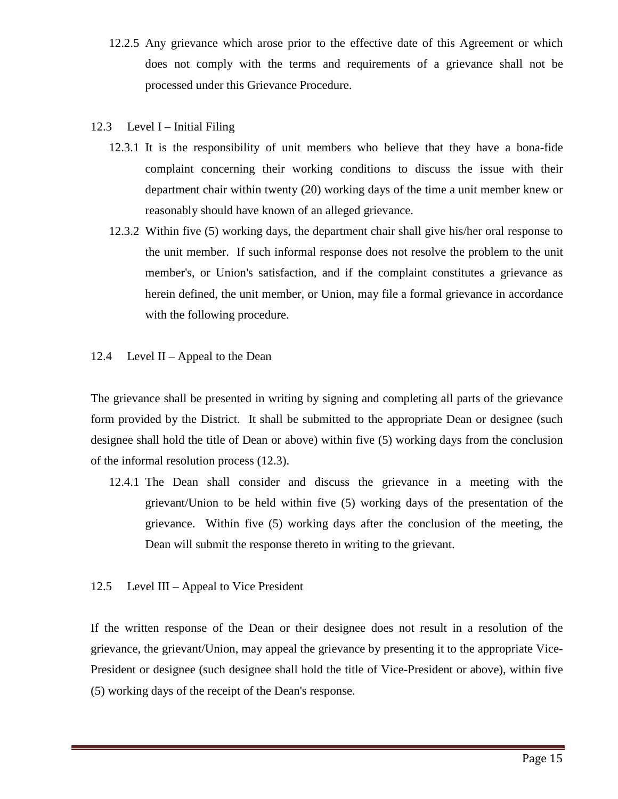- 12.2.5 Any grievance which arose prior to the effective date of this Agreement or which does not comply with the terms and requirements of a grievance shall not be processed under this Grievance Procedure.
- 12.3 Level I Initial Filing
	- 12.3.1 It is the responsibility of unit members who believe that they have a bona-fide complaint concerning their working conditions to discuss the issue with their department chair within twenty (20) working days of the time a unit member knew or reasonably should have known of an alleged grievance.
	- 12.3.2 Within five (5) working days, the department chair shall give his/her oral response to the unit member. If such informal response does not resolve the problem to the unit member's, or Union's satisfaction, and if the complaint constitutes a grievance as herein defined, the unit member, or Union, may file a formal grievance in accordance with the following procedure.
- 12.4 Level II Appeal to the Dean

The grievance shall be presented in writing by signing and completing all parts of the grievance form provided by the District. It shall be submitted to the appropriate Dean or designee (such designee shall hold the title of Dean or above) within five (5) working days from the conclusion of the informal resolution process (12.3).

- 12.4.1 The Dean shall consider and discuss the grievance in a meeting with the grievant/Union to be held within five (5) working days of the presentation of the grievance. Within five (5) working days after the conclusion of the meeting, the Dean will submit the response thereto in writing to the grievant.
- 12.5 Level III Appeal to Vice President

If the written response of the Dean or their designee does not result in a resolution of the grievance, the grievant/Union, may appeal the grievance by presenting it to the appropriate Vice-President or designee (such designee shall hold the title of Vice-President or above), within five (5) working days of the receipt of the Dean's response.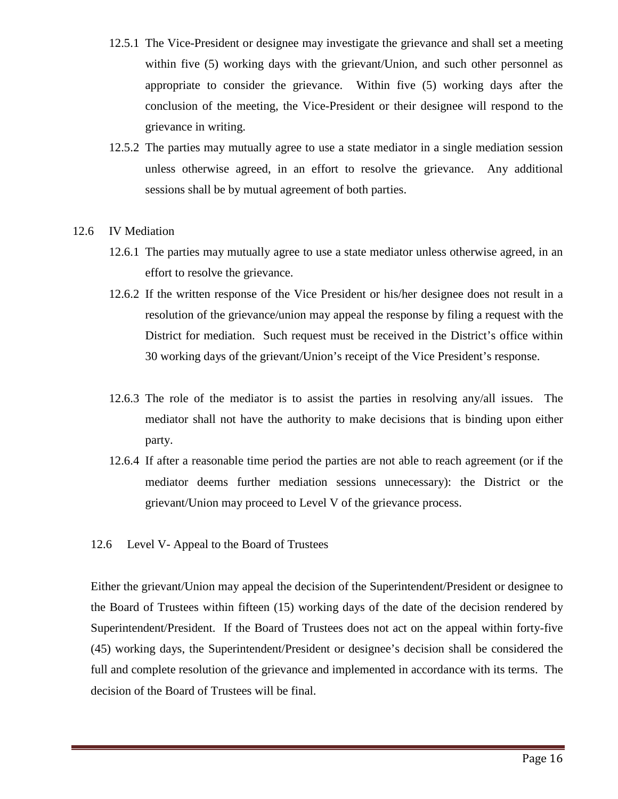- 12.5.1 The Vice-President or designee may investigate the grievance and shall set a meeting within five (5) working days with the grievant/Union, and such other personnel as appropriate to consider the grievance. Within five (5) working days after the conclusion of the meeting, the Vice-President or their designee will respond to the grievance in writing.
- 12.5.2 The parties may mutually agree to use a state mediator in a single mediation session unless otherwise agreed, in an effort to resolve the grievance. Any additional sessions shall be by mutual agreement of both parties.

#### 12.6 IV Mediation

- 12.6.1 The parties may mutually agree to use a state mediator unless otherwise agreed, in an effort to resolve the grievance.
- 12.6.2 If the written response of the Vice President or his/her designee does not result in a resolution of the grievance/union may appeal the response by filing a request with the District for mediation. Such request must be received in the District's office within 30 working days of the grievant/Union's receipt of the Vice President's response.
- 12.6.3 The role of the mediator is to assist the parties in resolving any/all issues. The mediator shall not have the authority to make decisions that is binding upon either party.
- 12.6.4 If after a reasonable time period the parties are not able to reach agreement (or if the mediator deems further mediation sessions unnecessary): the District or the grievant/Union may proceed to Level V of the grievance process.
- 12.6 Level V- Appeal to the Board of Trustees

Either the grievant/Union may appeal the decision of the Superintendent/President or designee to the Board of Trustees within fifteen (15) working days of the date of the decision rendered by Superintendent/President. If the Board of Trustees does not act on the appeal within forty-five (45) working days, the Superintendent/President or designee's decision shall be considered the full and complete resolution of the grievance and implemented in accordance with its terms. The decision of the Board of Trustees will be final.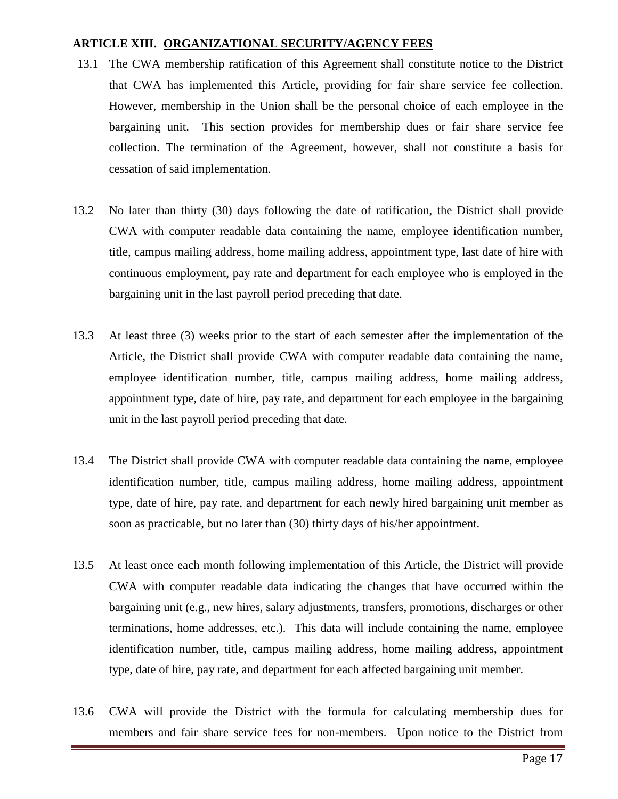#### <span id="page-16-0"></span>**ARTICLE XIII. ORGANIZATIONAL SECURITY/AGENCY FEES**

- 13.1 The CWA membership ratification of this Agreement shall constitute notice to the District that CWA has implemented this Article, providing for fair share service fee collection. However, membership in the Union shall be the personal choice of each employee in the bargaining unit. This section provides for membership dues or fair share service fee collection. The termination of the Agreement, however, shall not constitute a basis for cessation of said implementation.
- 13.2 No later than thirty (30) days following the date of ratification, the District shall provide CWA with computer readable data containing the name, employee identification number, title, campus mailing address, home mailing address, appointment type, last date of hire with continuous employment, pay rate and department for each employee who is employed in the bargaining unit in the last payroll period preceding that date.
- 13.3 At least three (3) weeks prior to the start of each semester after the implementation of the Article, the District shall provide CWA with computer readable data containing the name, employee identification number, title, campus mailing address, home mailing address, appointment type, date of hire, pay rate, and department for each employee in the bargaining unit in the last payroll period preceding that date.
- 13.4 The District shall provide CWA with computer readable data containing the name, employee identification number, title, campus mailing address, home mailing address, appointment type, date of hire, pay rate, and department for each newly hired bargaining unit member as soon as practicable, but no later than (30) thirty days of his/her appointment.
- 13.5 At least once each month following implementation of this Article, the District will provide CWA with computer readable data indicating the changes that have occurred within the bargaining unit (e.g., new hires, salary adjustments, transfers, promotions, discharges or other terminations, home addresses, etc.). This data will include containing the name, employee identification number, title, campus mailing address, home mailing address, appointment type, date of hire, pay rate, and department for each affected bargaining unit member.
- 13.6 CWA will provide the District with the formula for calculating membership dues for members and fair share service fees for non-members. Upon notice to the District from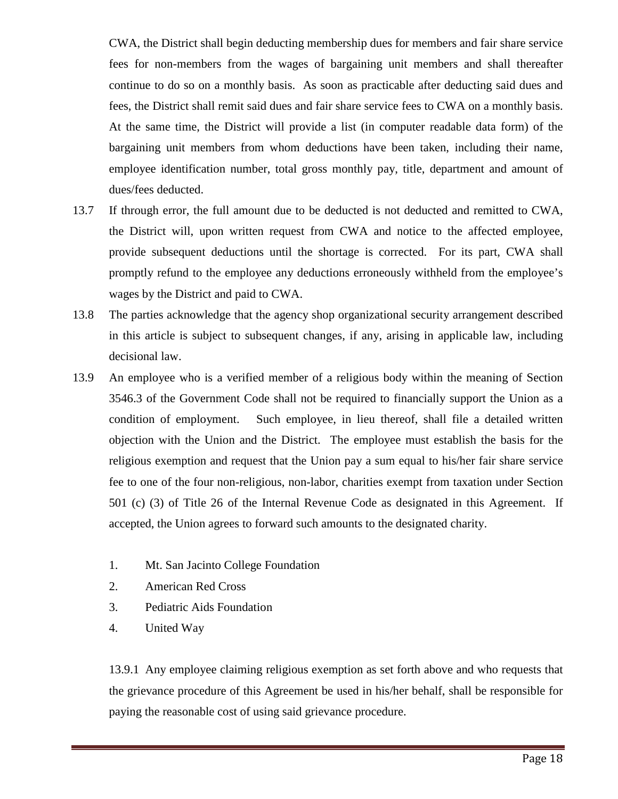CWA, the District shall begin deducting membership dues for members and fair share service fees for non-members from the wages of bargaining unit members and shall thereafter continue to do so on a monthly basis. As soon as practicable after deducting said dues and fees, the District shall remit said dues and fair share service fees to CWA on a monthly basis. At the same time, the District will provide a list (in computer readable data form) of the bargaining unit members from whom deductions have been taken, including their name, employee identification number, total gross monthly pay, title, department and amount of dues/fees deducted.

- 13.7 If through error, the full amount due to be deducted is not deducted and remitted to CWA, the District will, upon written request from CWA and notice to the affected employee, provide subsequent deductions until the shortage is corrected. For its part, CWA shall promptly refund to the employee any deductions erroneously withheld from the employee's wages by the District and paid to CWA.
- 13.8 The parties acknowledge that the agency shop organizational security arrangement described in this article is subject to subsequent changes, if any, arising in applicable law, including decisional law.
- 13.9 An employee who is a verified member of a religious body within the meaning of Section 3546.3 of the Government Code shall not be required to financially support the Union as a condition of employment. Such employee, in lieu thereof, shall file a detailed written objection with the Union and the District. The employee must establish the basis for the religious exemption and request that the Union pay a sum equal to his/her fair share service fee to one of the four non-religious, non-labor, charities exempt from taxation under Section 501 (c) (3) of Title 26 of the Internal Revenue Code as designated in this Agreement. If accepted, the Union agrees to forward such amounts to the designated charity.
	- 1. Mt. San Jacinto College Foundation
	- 2. American Red Cross
	- 3. Pediatric Aids Foundation
	- 4. United Way

13.9.1 Any employee claiming religious exemption as set forth above and who requests that the grievance procedure of this Agreement be used in his/her behalf, shall be responsible for paying the reasonable cost of using said grievance procedure.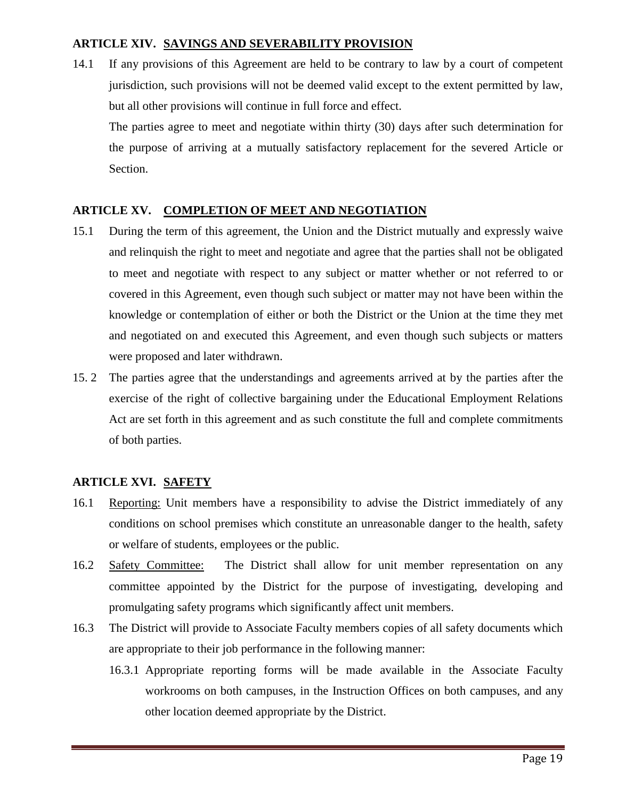# <span id="page-18-0"></span>**ARTICLE XIV. SAVINGS AND SEVERABILITY PROVISION**

14.1 If any provisions of this Agreement are held to be contrary to law by a court of competent jurisdiction, such provisions will not be deemed valid except to the extent permitted by law, but all other provisions will continue in full force and effect.

The parties agree to meet and negotiate within thirty (30) days after such determination for the purpose of arriving at a mutually satisfactory replacement for the severed Article or Section.

# <span id="page-18-1"></span>**ARTICLE XV. COMPLETION OF MEET AND NEGOTIATION**

- 15.1 During the term of this agreement, the Union and the District mutually and expressly waive and relinquish the right to meet and negotiate and agree that the parties shall not be obligated to meet and negotiate with respect to any subject or matter whether or not referred to or covered in this Agreement, even though such subject or matter may not have been within the knowledge or contemplation of either or both the District or the Union at the time they met and negotiated on and executed this Agreement, and even though such subjects or matters were proposed and later withdrawn.
- 15. 2 The parties agree that the understandings and agreements arrived at by the parties after the exercise of the right of collective bargaining under the Educational Employment Relations Act are set forth in this agreement and as such constitute the full and complete commitments of both parties.

# <span id="page-18-2"></span>**ARTICLE XVI. SAFETY**

- 16.1 Reporting: Unit members have a responsibility to advise the District immediately of any conditions on school premises which constitute an unreasonable danger to the health, safety or welfare of students, employees or the public.
- 16.2 Safety Committee: The District shall allow for unit member representation on any committee appointed by the District for the purpose of investigating, developing and promulgating safety programs which significantly affect unit members.
- 16.3 The District will provide to Associate Faculty members copies of all safety documents which are appropriate to their job performance in the following manner:
	- 16.3.1 Appropriate reporting forms will be made available in the Associate Faculty workrooms on both campuses, in the Instruction Offices on both campuses, and any other location deemed appropriate by the District.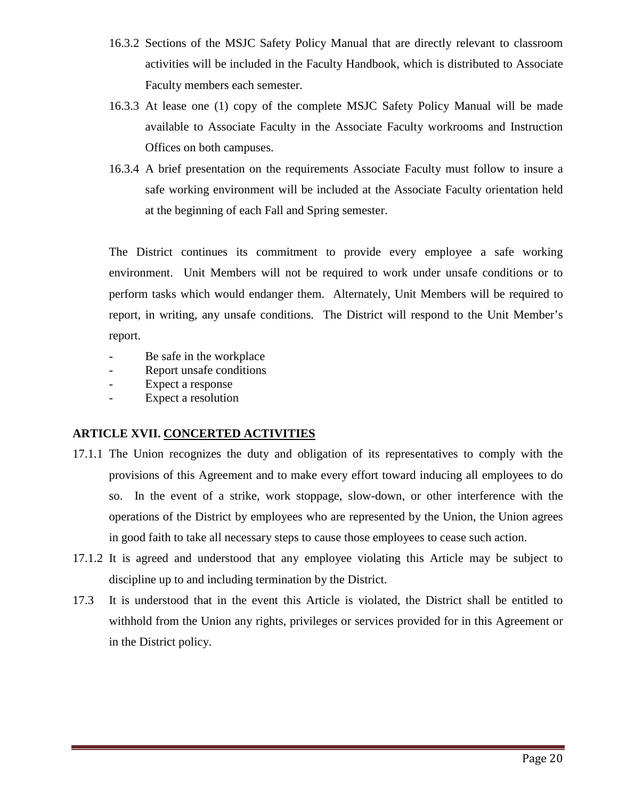- 16.3.2 Sections of the MSJC Safety Policy Manual that are directly relevant to classroom activities will be included in the Faculty Handbook, which is distributed to Associate Faculty members each semester.
- 16.3.3 At lease one (1) copy of the complete MSJC Safety Policy Manual will be made available to Associate Faculty in the Associate Faculty workrooms and Instruction Offices on both campuses.
- 16.3.4 A brief presentation on the requirements Associate Faculty must follow to insure a safe working environment will be included at the Associate Faculty orientation held at the beginning of each Fall and Spring semester.

The District continues its commitment to provide every employee a safe working environment. Unit Members will not be required to work under unsafe conditions or to perform tasks which would endanger them. Alternately, Unit Members will be required to report, in writing, any unsafe conditions. The District will respond to the Unit Member's report.

- Be safe in the workplace
- Report unsafe conditions
- Expect a response
- Expect a resolution

# <span id="page-19-0"></span>**ARTICLE XVII. CONCERTED ACTIVITIES**

- 17.1.1 The Union recognizes the duty and obligation of its representatives to comply with the provisions of this Agreement and to make every effort toward inducing all employees to do so. In the event of a strike, work stoppage, slow-down, or other interference with the operations of the District by employees who are represented by the Union, the Union agrees in good faith to take all necessary steps to cause those employees to cease such action.
- 17.1.2 It is agreed and understood that any employee violating this Article may be subject to discipline up to and including termination by the District.
- 17.3 It is understood that in the event this Article is violated, the District shall be entitled to withhold from the Union any rights, privileges or services provided for in this Agreement or in the District policy.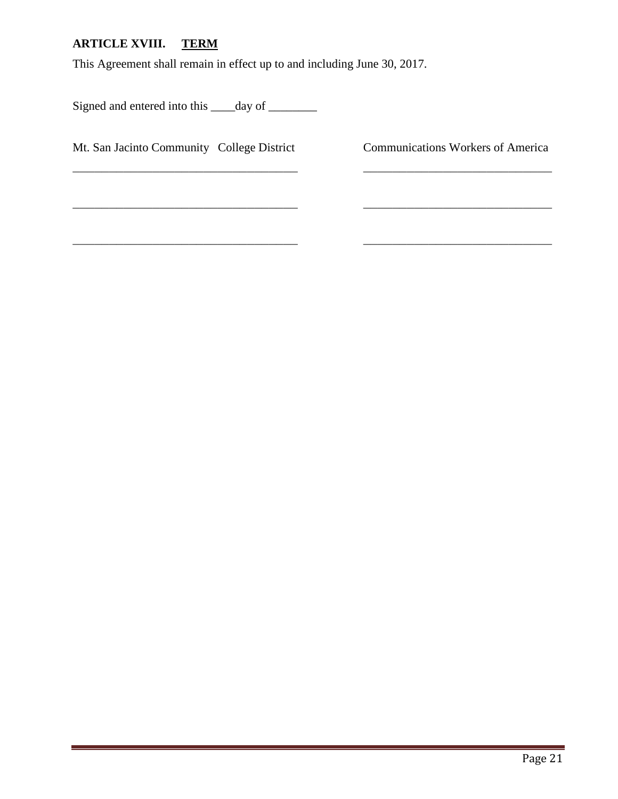# <span id="page-20-0"></span>**ARTICLE XVIII. TERM**

This Agreement shall remain in effect up to and including June 30, 2017.

 $\overline{\phantom{a}}$  , and the contract of the contract of the contract of the contract of the contract of the contract of the contract of the contract of the contract of the contract of the contract of the contract of the contrac

\_\_\_\_\_\_\_\_\_\_\_\_\_\_\_\_\_\_\_\_\_\_\_\_\_\_\_\_\_\_\_ \_\_\_\_\_\_\_\_\_\_\_\_\_\_\_\_\_\_\_\_\_\_\_\_\_\_

Signed and entered into this \_\_\_\_day of \_\_\_\_\_\_\_

Mt. San Jacinto Community College District Communications Workers of America

\_\_\_\_\_\_\_\_\_\_\_\_\_\_\_\_\_\_\_\_\_\_\_\_\_\_\_\_\_\_\_ \_\_\_\_\_\_\_\_\_\_\_\_\_\_\_\_\_\_\_\_\_\_\_\_\_\_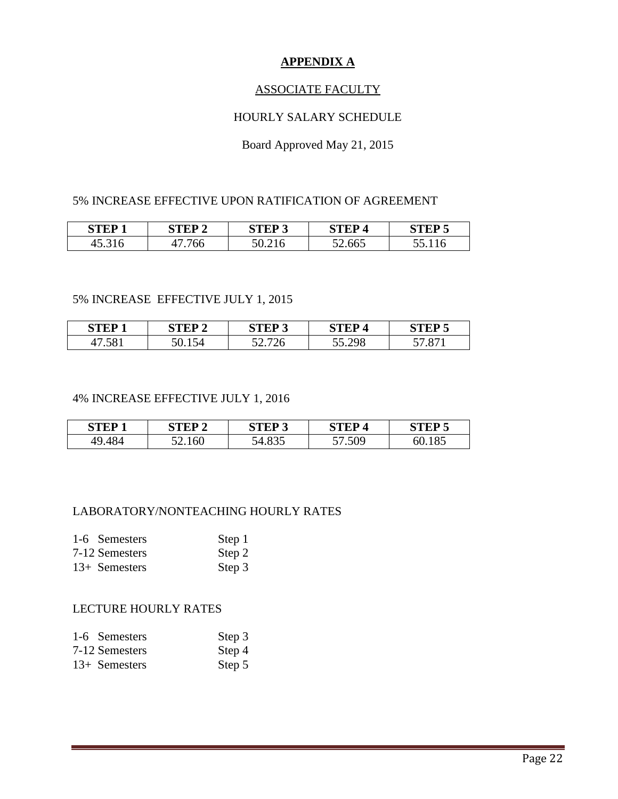# **APPENDIX A**

# ASSOCIATE FACULTY

# HOURLY SALARY SCHEDULE

# Board Approved May 21, 2015

### 5% INCREASE EFFECTIVE UPON RATIFICATION OF AGREEMENT

| $\alpha$ and $\alpha$ | стгр э                       | <b>CTED 2</b><br>ັ | стер   | $\alpha$ or the set of $\alpha$ |
|-----------------------|------------------------------|--------------------|--------|---------------------------------|
| $+J.JIO$              | $\sqrt{2}$<br>4 <sub>1</sub> | $J_{\nu}$          | 52.665 | .110<br>ັບ                      |

#### 5% INCREASE EFFECTIVE JULY 1, 2015

| CTED 1 | стер 9 | <b>CTED 2</b>  | <b>CTED</b> | стер е      |
|--------|--------|----------------|-------------|-------------|
| 41.301 | 74     | ,,,<br>∠∪<br>، | 55.298      | O71<br>$ -$ |

#### 4% INCREASE EFFECTIVE JULY 1, 2016

| STFP 1 | STFP 2 | стғр 3     | STEP   | стғр 5 |
|--------|--------|------------|--------|--------|
| 49.484 | 52.160 | 7.VJJ<br>ັ | 57.509 | 185    |

#### LABORATORY/NONTEACHING HOURLY RATES

| 1-6 Semesters   | Step 1 |
|-----------------|--------|
| 7-12 Semesters  | Step 2 |
| $13+$ Semesters | Step 3 |

#### LECTURE HOURLY RATES

| 1-6 Semesters   | Step 3 |
|-----------------|--------|
| 7-12 Semesters  | Step 4 |
| $13+$ Semesters | Step 5 |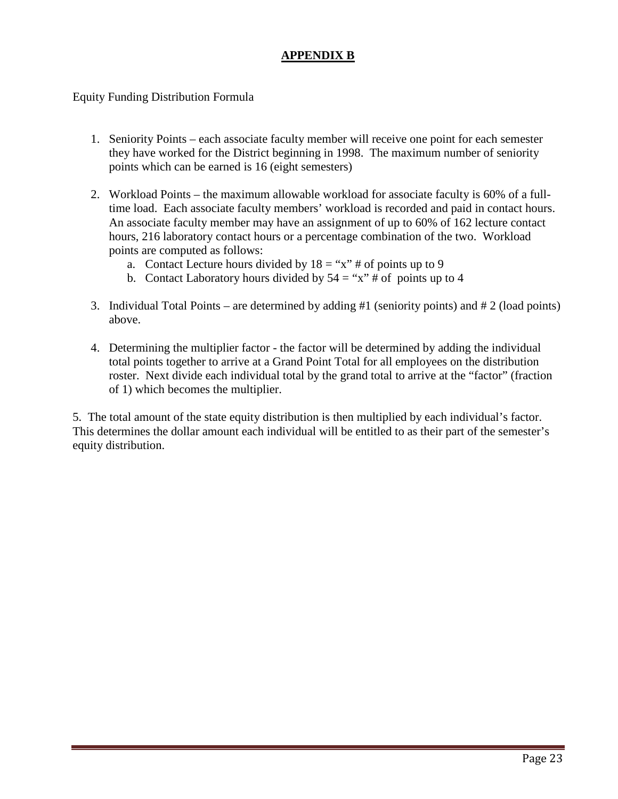# **APPENDIX B**

Equity Funding Distribution Formula

- 1. Seniority Points each associate faculty member will receive one point for each semester they have worked for the District beginning in 1998. The maximum number of seniority points which can be earned is 16 (eight semesters)
- 2. Workload Points the maximum allowable workload for associate faculty is 60% of a fulltime load. Each associate faculty members' workload is recorded and paid in contact hours. An associate faculty member may have an assignment of up to 60% of 162 lecture contact hours, 216 laboratory contact hours or a percentage combination of the two. Workload points are computed as follows:
	- a. Contact Lecture hours divided by  $18 = "x" \#$  of points up to 9
	- b. Contact Laboratory hours divided by  $54 =$ "x" # of points up to 4
- 3. Individual Total Points are determined by adding #1 (seniority points) and # 2 (load points) above.
- 4. Determining the multiplier factor the factor will be determined by adding the individual total points together to arrive at a Grand Point Total for all employees on the distribution roster. Next divide each individual total by the grand total to arrive at the "factor" (fraction of 1) which becomes the multiplier.

5. The total amount of the state equity distribution is then multiplied by each individual's factor. This determines the dollar amount each individual will be entitled to as their part of the semester's equity distribution.